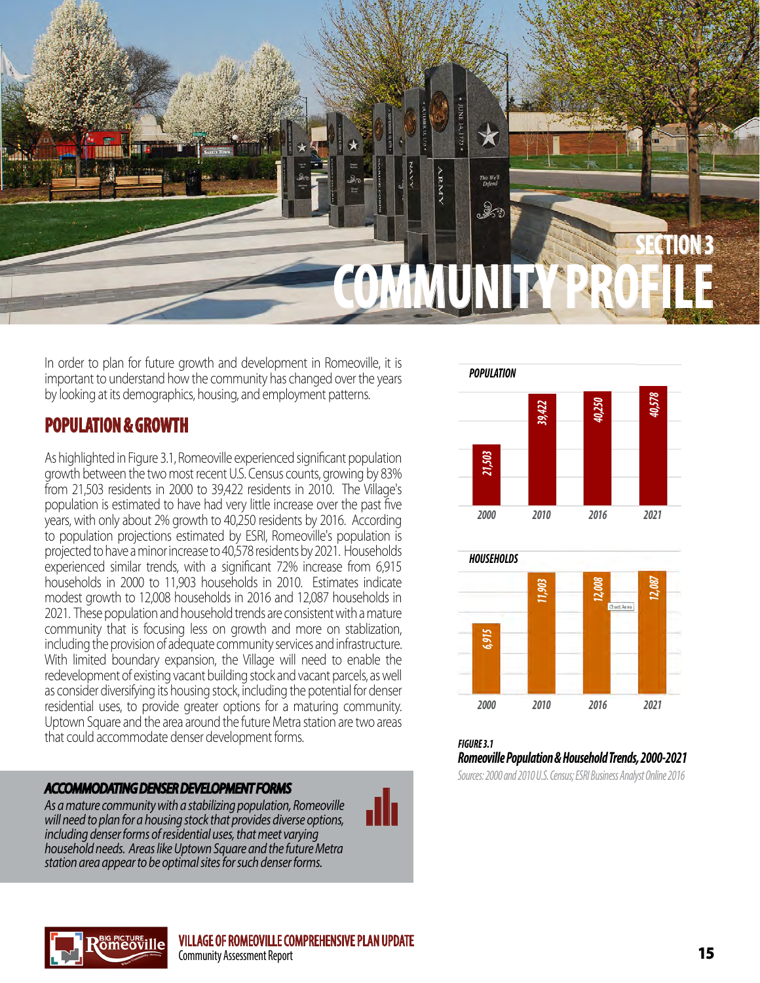

In order to plan for future growth and development in Romeoville, it is important to understand how the community has changed over the years by looking at its demographics, housing, and employment patterns.

# **POPULATION & GROWTH**

As highlighted in Figure 3.1, Romeoville experienced significant population growth between the two most recent U.S. Census counts, growing by 83% from 21,503 residents in 2000 to 39,422 residents in 2010. The Village's population is estimated to have had very little increase over the past five years, with only about 2% growth to 40,250 residents by 2016. According to population projections estimated by ESRI, Romeoville's population is projected to have a minor increase to 40,578 residents by 2021. Households experienced similar trends, with a significant 72% increase from 6,915 households in 2000 to 11,903 households in 2010. Estimates indicate modest growth to 12,008 households in 2016 and 12,087 households in 2021. These population and household trends are consistent with a mature community that is focusing less on growth and more on stablization, including the provision of adequate community services and infrastructure. With limited boundary expansion, the Village will need to enable the redevelopment of existing vacant building stock and vacant parcels, as well as consider diversifying its housing stock, including the potential for denser residential uses, to provide greater options for a maturing community. Uptown Square and the area around the future Metra station are two areas that could accommodate denser development forms.

#### *ACCOMMODATING DENSER DEVELOPMENT FORMS*

*As a mature community with a stabilizing population, Romeoville will need to plan for a housing stock that provides diverse options, including denser forms of residential uses, that meet varying household needs. Areas like Uptown Square and the future Metra station area appear to be optimal sites for such denser forms.*









ah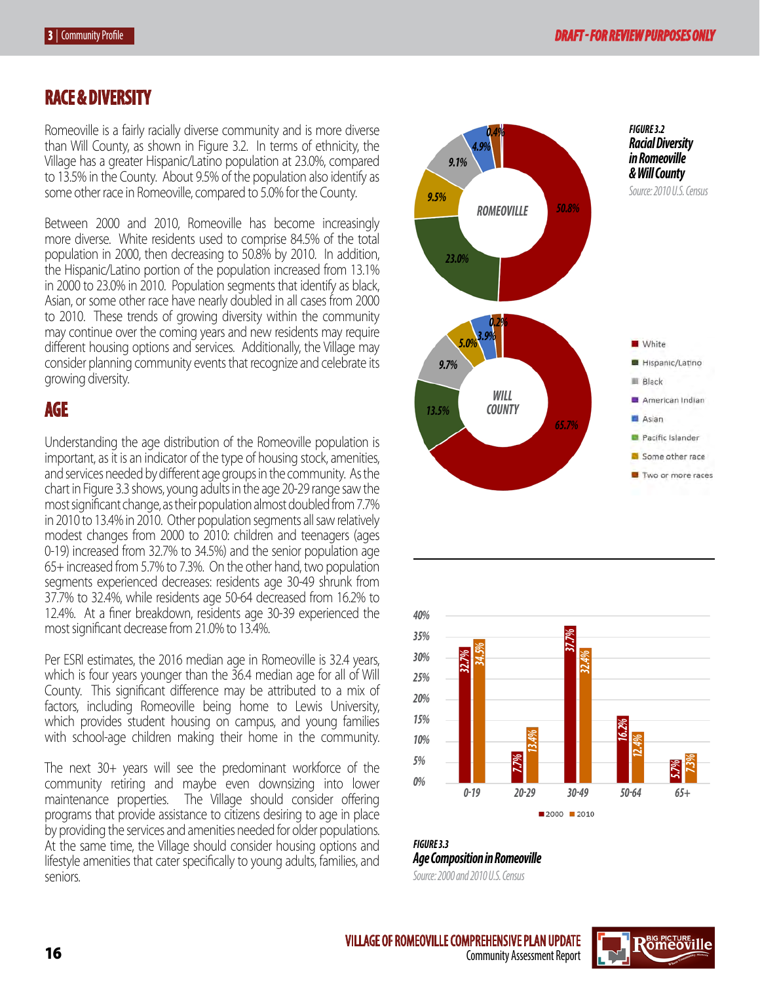### **RACE & DIVERSITY**

Romeoville is a fairly racially diverse community and is more diverse than Will County, as shown in Figure 3.2. In terms of ethnicity, the Village has a greater Hispanic/Latino population at 23.0%, compared to 13.5% in the County. About 9.5% of the population also identify as some other race in Romeoville, compared to 5.0% for the County.

Between 2000 and 2010, Romeoville has become increasingly more diverse. White residents used to comprise 84.5% of the total population in 2000, then decreasing to 50.8% by 2010. In addition, the Hispanic/Latino portion of the population increased from 13.1% in 2000 to 23.0% in 2010. Population segments that identify as black, Asian, or some other race have nearly doubled in all cases from 2000 to 2010. These trends of growing diversity within the community may continue over the coming years and new residents may require different housing options and services. Additionally, the Village may consider planning community events that recognize and celebrate its growing diversity.

### **AGE**

Understanding the age distribution of the Romeoville population is important, as it is an indicator of the type of housing stock, amenities, and services needed by different age groups in the community. As the chart in Figure 3.3 shows, young adults in the age 20-29 range saw the most significant change, as their population almost doubled from 7.7% in 2010 to 13.4% in 2010. Other population segments all saw relatively modest changes from 2000 to 2010: children and teenagers (ages 0-19) increased from 32.7% to 34.5%) and the senior population age 65+ increased from 5.7% to 7.3%. On the other hand, two population segments experienced decreases: residents age 30-49 shrunk from 37.7% to 32.4%, while residents age 50-64 decreased from 16.2% to 12.4%. At a finer breakdown, residents age 30-39 experienced the most significant decrease from 21.0% to 13.4%.

Per ESRI estimates, the 2016 median age in Romeoville is 32.4 years, which is four years younger than the 36.4 median age for all of Will County. This significant difference may be attributed to a mix of factors, including Romeoville being home to Lewis University, which provides student housing on campus, and young families with school-age children making their home in the community.

The next 30+ years will see the predominant workforce of the community retiring and maybe even downsizing into lower maintenance properties. The Village should consider offering programs that provide assistance to citizens desiring to age in place by providing the services and amenities needed for older populations. At the same time, the Village should consider housing options and lifestyle amenities that cater specifically to young adults, families, and seniors.





*FIGURE 3.3 Age Composition in Romeoville Source: 2000 and 2010 U.S. Census*

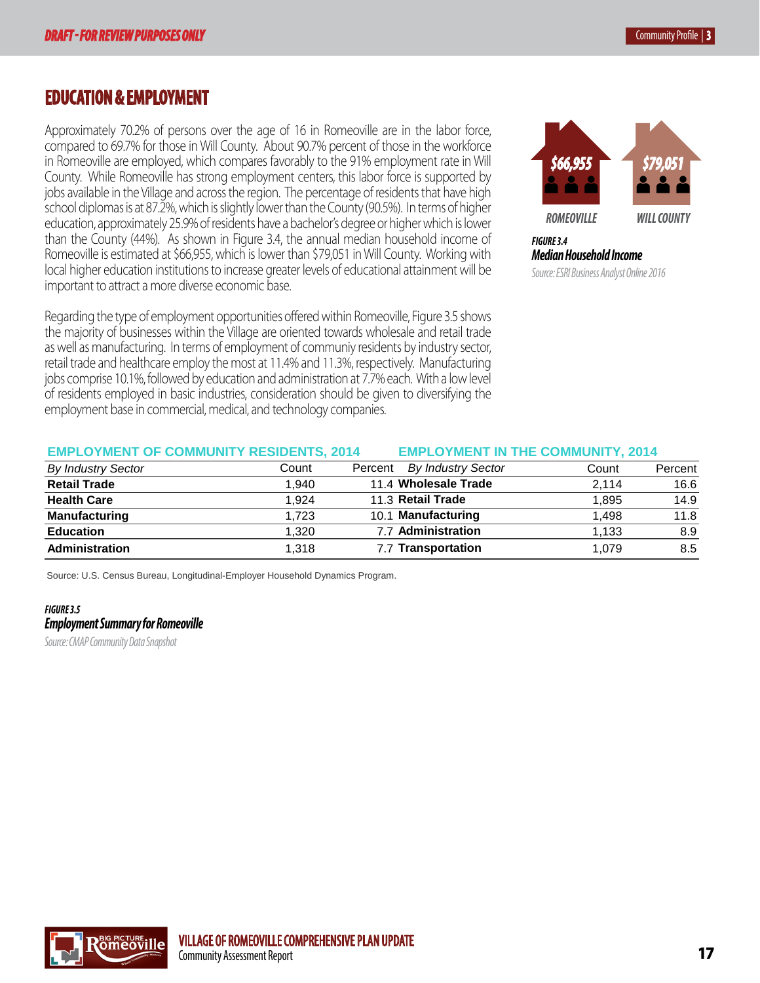**EMPLOYMENT STATUS, 2014**

## **EDUCATION & EMPLOYMENT In Labor Force** 20,421 **70.2** 359,559 **69.7** 4,523,067 **67.9**

Approximately 70.2% of persons over the age of 16 in Romeoville are in the labor force, **Note 1** and 10 and 10 and 10 and 10 and 10 and 10 and 10 and 10 and 10 and 10 and 10 and 10 and 10 and 10 and 10 and 10 and 10 and 10 and 10 and 10 and 10 and 10 and 10 and 10 and 10 and 10 and 10 and 10 and 10 and 10 and in Romeoville are employed, which compares favorably to the 91% employment rate in Will **Property Survey fi County.** While Romeoville has strong employment centers, this labor force is supported by **COUNT REGION REGION** jobs available in the Village and across the region. The percentage of residents that have high **Count Percent Percent** school diplomas is at 87.2%, which is slightly lower than the County (90.5%). In terms of higher **Company of the County of the County of the County of the POMEOVILLE** education, approximately 25.9% of residents have a bachelor's degree or higher which is lower **Similar Will County** than the County (44%). As shown in Figure 3.4, the annual median household income of **FIGURE3.4** Romeoville is estimated at \$66,955, which is lower than \$79,051 in Will County. Working with **Median Household Income**<br>. local higher education institutions to increase greater levels of educational attainment will be source: ESRI Business Analyst Online 2016 important to attract a more diverse economic base. **Priportant to attract a more dive** 

Regarding the type of employment opportunities offered within Romeoville, Figure 3.5 shows <sub>.</sub> the majority of businesses within the Village are oriented towards wholesale and retail trade as well as manufacturing. In terms of employment of communiy residents by industry sector, retail trade and healthcare employ the most at 11.4% and 11.3%, respectively. Manufacturing jobs comprise 10.1%, followed by education and administration at 7.7% each. With a low level of residents employed in basic industries, consideration should be given to diversifying the employment base in commercial, medical, and technology companies. The contract of the control of the community Source: Illinois Department of Employment Security (IDES). within Romeoville, Figure 3.5 shows



*FIGURE 3.4 Median Household Income Source: ESRI Business Analyst Online 2016*

#### **EMPLOYMENT OF COMMUNITY RESIDENTS, 2014 EMPLOYMENT IN THE COMMUNITY, 2014 EMPLOYMENT IN THE COMMUNITY, 2014**

| <b>By Industry Sector</b> | Count | <b>By Industry Sector</b><br>Percent | Count | Percent |
|---------------------------|-------|--------------------------------------|-------|---------|
| <b>Retail Trade</b>       | 1.940 | 11.4 Wholesale Trade                 | 2.114 | 16.6    |
| <b>Health Care</b>        | 1.924 | 11.3 Retail Trade                    | 1,895 | 14.9    |
| <b>Manufacturing</b>      | 1.723 | 10.1 Manufacturing                   | 1.498 | 11.8    |
| <b>Education</b>          | 1.320 | 7.7 Administration                   | 1.133 | 8.9     |
| Administration            | 1.318 | 7.7 Transportation                   | 1.079 | 8.5     |
|                           |       |                                      |       |         |

Source: U.S. Census Bureau, Longitudinal-Employer Household Dynamics Program.

#### **FIGURE 3.5** research **Summary for Romeoville Chicago** 2,584 15.1 1,634 12.8

**Source: CMAP Community Data Snapshot Romeoville** 878 5.1 987 7.7